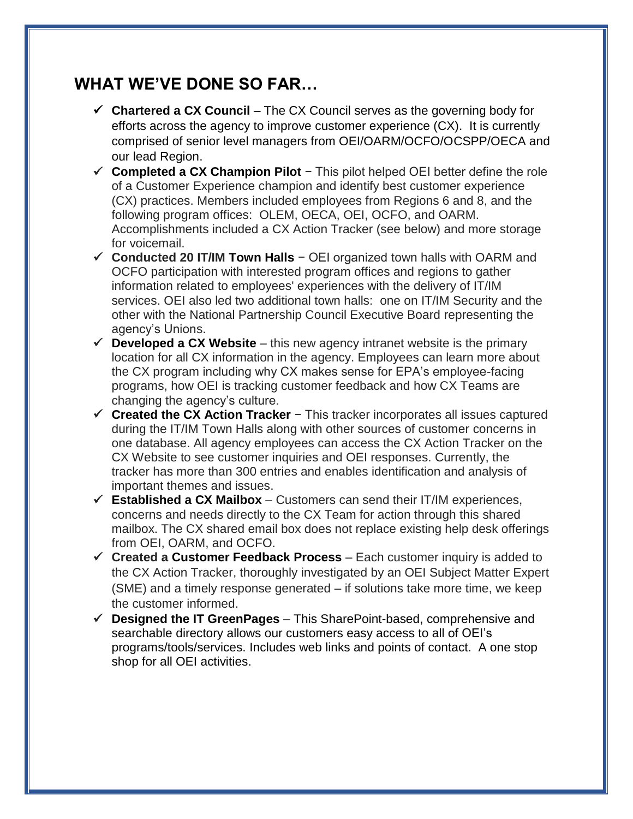## **WHAT WE'VE DONE SO FAR…**

- **Chartered a CX Council** The CX Council serves as the governing body for efforts across the agency to improve customer experience (CX). It is currently comprised of senior level managers from OEI/OARM/OCFO/OCSPP/OECA and our lead Region.
- **Completed a CX Champion Pilot** − This pilot helped OEI better define the role of a Customer Experience champion and identify best customer experience (CX) practices. Members included employees from Regions 6 and 8, and the following program offices: OLEM, OECA, OEI, OCFO, and OARM. Accomplishments included a CX Action Tracker (see below) and more storage for voicemail.
- **Conducted 20 IT/IM Town Halls** − OEI organized town halls with OARM and OCFO participation with interested program offices and regions to gather information related to employees' experiences with the delivery of IT/IM services. OEI also led two additional town halls: one on IT/IM Security and the other with the National Partnership Council Executive Board representing the agency's Unions.
- $\checkmark$  **Developed a CX Website** this new agency intranet website is the primary location for all CX information in the agency. Employees can learn more about the CX program including why CX makes sense for EPA's employee-facing programs, how OEI is tracking customer feedback and how CX Teams are changing the agency's culture.
- **Created the CX Action Tracker** − This tracker incorporates all issues captured during the IT/IM Town Halls along with other sources of customer concerns in one database. All agency employees can access the CX Action Tracker on the CX Website to see customer inquiries and OEI responses. Currently, the tracker has more than 300 entries and enables identification and analysis of important themes and issues.
- $\checkmark$  **Established a CX Mailbox** Customers can send their IT/IM experiences, concerns and needs directly to the CX Team for action through this shared mailbox. The CX shared email box does not replace existing help desk offerings from OEI, OARM, and OCFO.
- **Created a Customer Feedback Process** Each customer inquiry is added to the CX Action Tracker, thoroughly investigated by an OEI Subject Matter Expert (SME) and a timely response generated – if solutions take more time, we keep the customer informed.
- **Designed the IT GreenPages** This SharePoint-based, comprehensive and searchable directory allows our customers easy access to all of OEI's programs/tools/services. Includes web links and points of contact. A one stop shop for all OEI activities.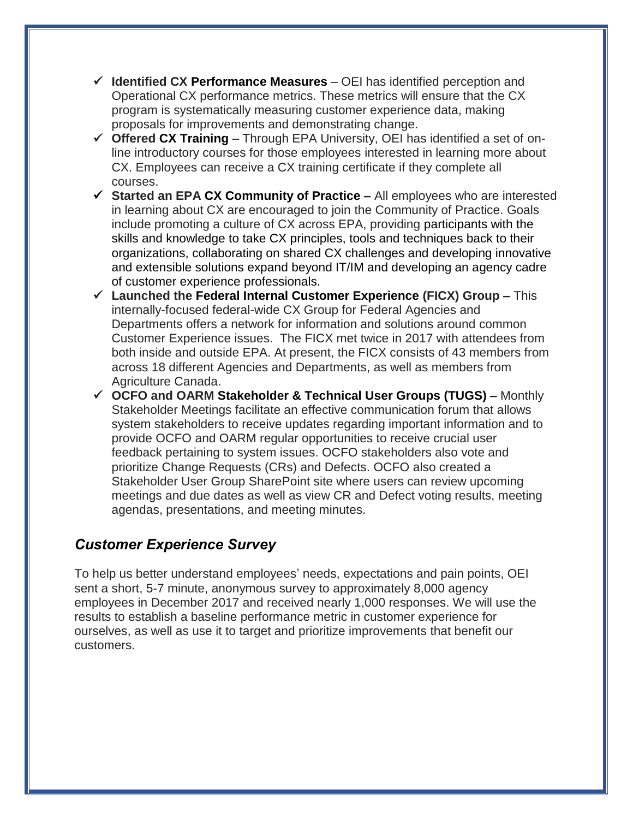- **Identified CX Performance Measures** OEI has identified perception and Operational CX performance metrics. These metrics will ensure that the CX program is systematically measuring customer experience data, making proposals for improvements and demonstrating change.
- **Offered CX Training** Through EPA University, OEI has identified a set of online introductory courses for those employees interested in learning more about CX. Employees can receive a CX training certificate if they complete all courses.
- **Started an EPA CX Community of Practice –** All employees who are interested in learning about CX are encouraged to join the Community of Practice. Goals include promoting a culture of CX across EPA, providing participants with the skills and knowledge to take CX principles, tools and techniques back to their organizations, collaborating on shared CX challenges and developing innovative and extensible solutions expand beyond IT/IM and developing an agency cadre of customer experience professionals.
- **Launched the Federal Internal Customer Experience (FICX) Group –** This internally-focused federal-wide CX Group for Federal Agencies and Departments offers a network for information and solutions around common Customer Experience issues. The FICX met twice in 2017 with attendees from both inside and outside EPA. At present, the FICX consists of 43 members from across 18 different Agencies and Departments, as well as members from Agriculture Canada.
- **OCFO and OARM Stakeholder & Technical User Groups (TUGS) –** Monthly Stakeholder Meetings facilitate an effective communication forum that allows system stakeholders to receive updates regarding important information and to provide OCFO and OARM regular opportunities to receive crucial user feedback pertaining to system issues. OCFO stakeholders also vote and prioritize Change Requests (CRs) and Defects. OCFO also created a Stakeholder User Group SharePoint site where users can review upcoming meetings and due dates as well as view CR and Defect voting results, meeting agendas, presentations, and meeting minutes.

## *Customer Experience Survey*

To help us better understand employees' needs, expectations and pain points, OEI sent a short, 5-7 minute, anonymous survey to approximately 8,000 agency employees in December 2017 and received nearly 1,000 responses. We will use the results to establish a baseline performance metric in customer experience for ourselves, as well as use it to target and prioritize improvements that benefit our customers.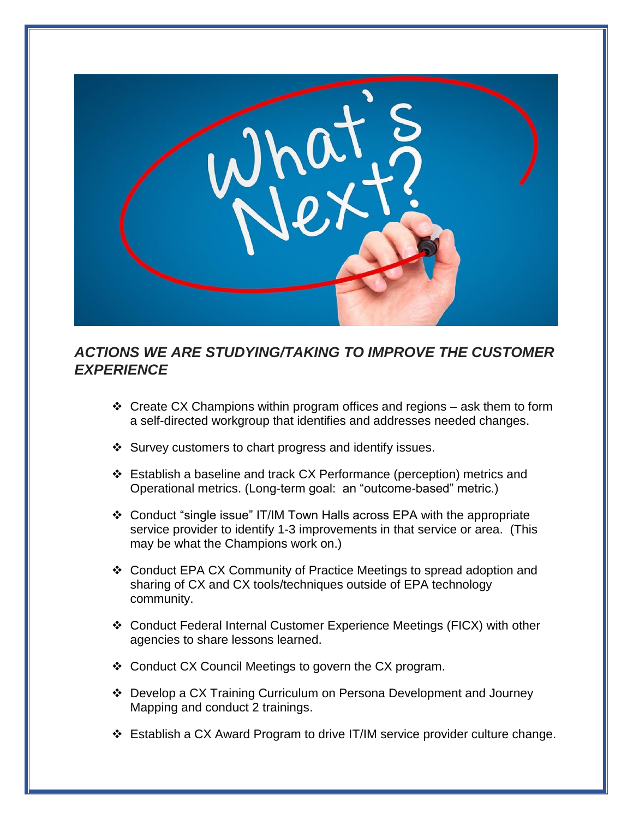

## *ACTIONS WE ARE STUDYING/TAKING TO IMPROVE THE CUSTOMER EXPERIENCE*

- $\div$  Create CX Champions within program offices and regions ask them to form a self-directed workgroup that identifies and addresses needed changes.
- ❖ Survey customers to chart progress and identify issues.
- Establish a baseline and track CX Performance (perception) metrics and Operational metrics. (Long-term goal: an "outcome-based" metric.)
- Conduct "single issue" IT/IM Town Halls across EPA with the appropriate service provider to identify 1-3 improvements in that service or area. (This may be what the Champions work on.)
- Conduct EPA CX Community of Practice Meetings to spread adoption and sharing of CX and CX tools/techniques outside of EPA technology community.
- Conduct Federal Internal Customer Experience Meetings (FICX) with other agencies to share lessons learned.
- ❖ Conduct CX Council Meetings to govern the CX program.
- Develop a CX Training Curriculum on Persona Development and Journey Mapping and conduct 2 trainings.
- Establish a CX Award Program to drive IT/IM service provider culture change.